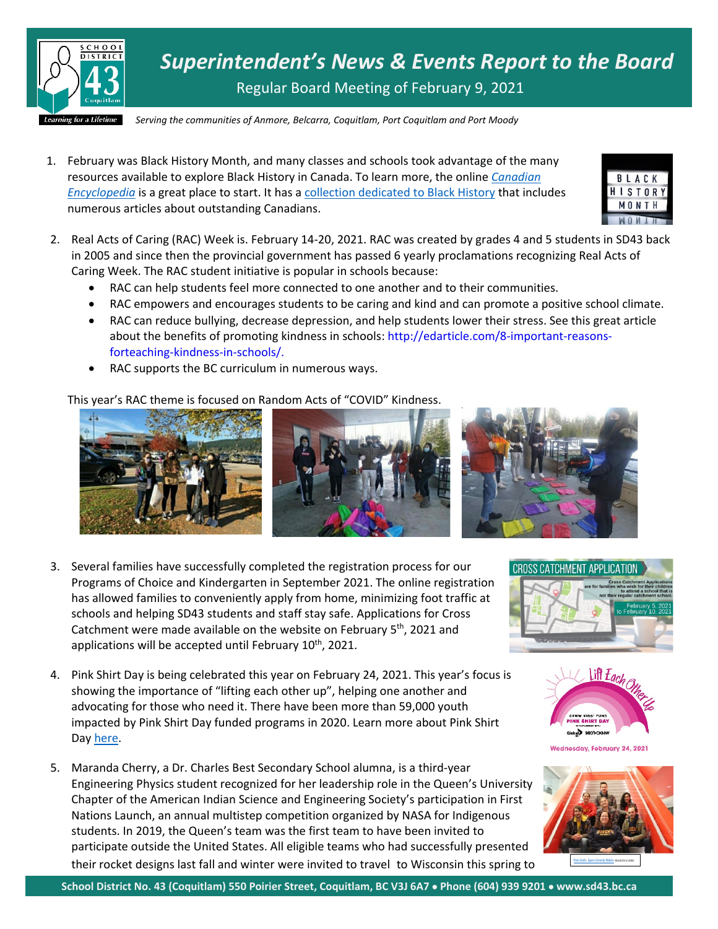

*Superintendent's News & Events Report to the Board* Regular Board Meeting of February 9, 2021

*Serving the communities of Anmore, Belcarra, Coquitlam, Port Coquitlam and Port Moody*

1. February was Black History Month, and many classes and schools took advantage of the many resources available to explore Black History in Canada. To learn more, the online *[Canadian](https://www.thecanadianencyclopedia.ca/en/)  [Encyclopedia](https://www.thecanadianencyclopedia.ca/en/)* is a great place to start. It has a [collection dedicated to Black History](https://www.thecanadianencyclopedia.ca/en/collection/black-history-in-canada) that includes numerous articles about outstanding Canadians.



- 2. Real Acts of Caring (RAC) Week is. February 14-20, 2021. RAC was created by grades 4 and 5 students in SD43 back in 2005 and since then the provincial government has passed 6 yearly proclamations recognizing Real Acts of Caring Week. The RAC student initiative is popular in schools because:
	- RAC can help students feel more connected to one another and to their communities.
	- RAC empowers and encourages students to be caring and kind and can promote a positive school climate.
	- RAC can reduce bullying, decrease depression, and help students lower their stress. See this great article about the benefits of promoting kindness in schools: http://edarticle.com/8-important-reasonsforteaching-kindness-in-schools/.
	- RAC supports the BC curriculum in numerous ways.

This year's RAC theme is focused on Random Acts of "COVID" Kindness.



- 3. Several families have successfully completed the registration process for our Programs of Choice and Kindergarten in September 2021. The online registration has allowed families to conveniently apply from home, minimizing foot traffic at schools and helping SD43 students and staff stay safe. Applications for Cross Catchment were made available on the website on February  $5<sup>th</sup>$ , 2021 and applications will be accepted until February  $10^{th}$ , 2021.
- 4. Pink Shirt Day is being celebrated this year on February 24, 2021. This year's focus is showing the importance of "lifting each other up", helping one another and advocating for those who need it. There have been more than 59,000 youth impacted by Pink Shirt Day funded programs in 2020. Learn more about Pink Shirt Day [here.](https://www.pinkshirtday.ca/)
- 5. Maranda Cherry, a Dr. Charles Best Secondary School alumna, is a third-year Engineering Physics student recognized for her leadership role in the Queen's University Chapter of the American Indian Science and Engineering Society's participation in First Nations Launch, an annual multistep competition organized by NASA for Indigenous students. In 2019, the Queen's team was the first team to have been invited to participate outside the United States. All eligible teams who had successfully presented their rocket designs last fall and winter were invited to travel to Wisconsin this spring to





Wednesday, February 24, 2021



**School District No. 43 (Coquitlam) 550 Poirier Street, Coquitlam, BC V3J 6A7** • **Phone (604) 939 9201** • **www.sd43.bc.ca**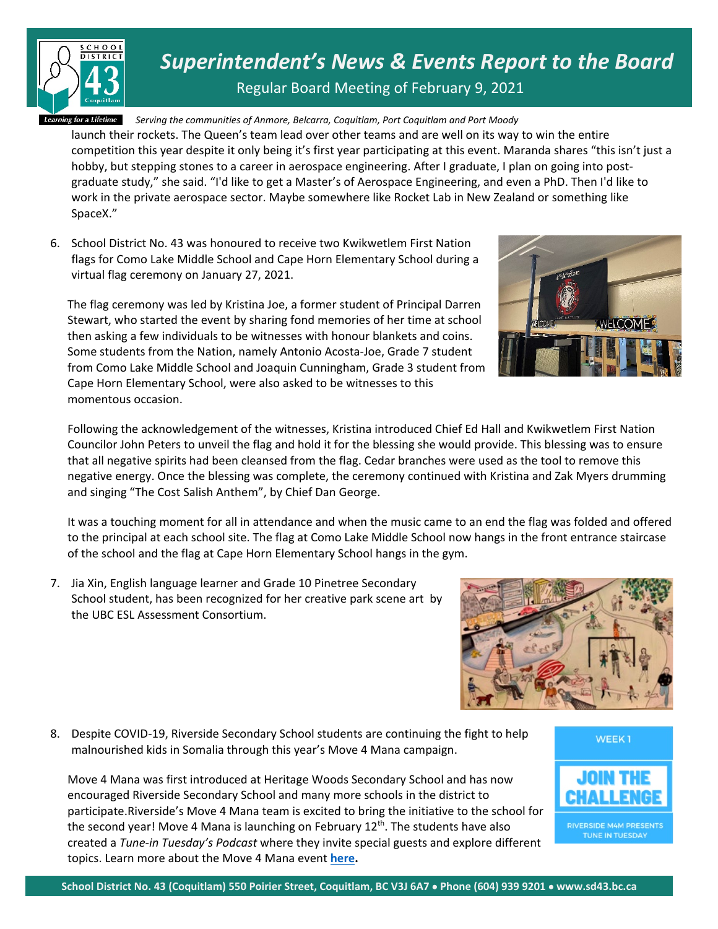

*Superintendent's News & Events Report to the Board*

Regular Board Meeting of February 9, 2021

*Serving the communities of Anmore, Belcarra, Coquitlam, Port Coquitlam and Port Moody*

launch their rockets. The Queen's team lead over other teams and are well on its way to win the entire competition this year despite it only being it's first year participating at this event. Maranda shares "this isn't just a hobby, but stepping stones to a career in aerospace engineering. After I graduate, I plan on going into postgraduate study," she said. "I'd like to get a Master's of Aerospace Engineering, and even a PhD. Then I'd like to work in the private aerospace sector. Maybe somewhere like Rocket Lab in New Zealand or something like SpaceX."

6. School District No. 43 was honoured to receive two Kwikwetlem First Nation flags for Como Lake Middle School and Cape Horn Elementary School during a virtual flag ceremony on January 27, 2021.

The flag ceremony was led by Kristina Joe, a former student of Principal Darren Stewart, who started the event by sharing fond memories of her time at school then asking a few individuals to be witnesses with honour blankets and coins. Some students from the Nation, namely Antonio Acosta-Joe, Grade 7 student from Como Lake Middle School and Joaquin Cunningham, Grade 3 student from Cape Horn Elementary School, were also asked to be witnesses to this momentous occasion.



Following the acknowledgement of the witnesses, Kristina introduced Chief Ed Hall and Kwikwetlem First Nation Councilor John Peters to unveil the flag and hold it for the blessing she would provide. This blessing was to ensure that all negative spirits had been cleansed from the flag. Cedar branches were used as the tool to remove this negative energy. Once the blessing was complete, the ceremony continued with Kristina and Zak Myers drumming and singing "The Cost Salish Anthem", by Chief Dan George.

It was a touching moment for all in attendance and when the music came to an end the flag was folded and offered to the principal at each school site. The flag at Como Lake Middle School now hangs in the front entrance staircase of the school and the flag at Cape Horn Elementary School hangs in the gym.

7. Jia Xin, English language learner and Grade 10 Pinetree Secondary School student, has been recognized for her creative park scene art by the UBC ESL Assessment Consortium.

8. Despite COVID-19, Riverside Secondary School students are continuing the fight to help malnourished kids in Somalia through this year's Move 4 Mana campaign.

Move 4 Mana was first introduced at Heritage Woods Secondary School and has now encouraged Riverside Secondary School and many more schools in the district to participate.Riverside's Move 4 Mana team is excited to bring the initiative to the school for the second year! Move 4 Mana is launching on February  $12<sup>th</sup>$ . The students have also created a *Tune-in Tuesday's Podcast* where they invite special guests and explore different topics. Learn more about the Move 4 Mana event **[here.](http://riversideeddy.ca/riverside-rapids-dive-into-the-move-4-mana-fundraiser/)**



**RIVERSIDE M4M PRESENTS** TUNE IN TUESDAY